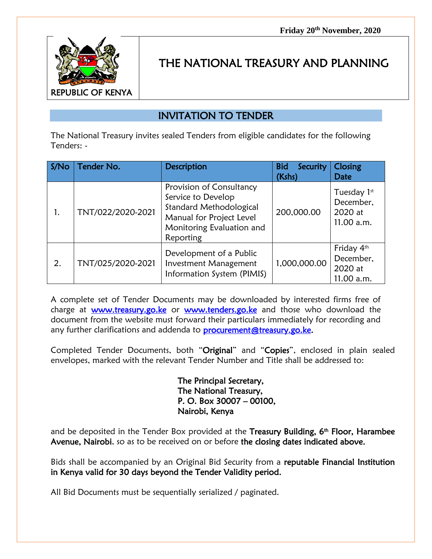

## THE NATIONAL TREASURY AND PLANNING

## INVITATION TO TENDER

The National Treasury invites sealed Tenders from eligible candidates for the following Tenders: -

| S/No | Tender No.        | <b>Description</b>                                                                                                                              | <b>Bid</b><br>Security<br>(Kshs) | Closing<br><b>Date</b>                            |
|------|-------------------|-------------------------------------------------------------------------------------------------------------------------------------------------|----------------------------------|---------------------------------------------------|
|      | TNT/022/2020-2021 | Provision of Consultancy<br>Service to Develop<br>Standard Methodological<br>Manual for Project Level<br>Monitoring Evaluation and<br>Reporting | 200,000.00                       | Tuesday 1st<br>December,<br>2020 at<br>11.00 a.m. |
| 2.   | TNT/025/2020-2021 | Development of a Public<br>Investment Management<br>Information System (PIMIS)                                                                  | 1,000,000.00                     | Friday 4th<br>December,<br>2020 at<br>11.00 a.m.  |

A complete set of Tender Documents may be downloaded by interested firms free of charge at [www.treasury.go.ke](http://www.treasury.go.ke/) or [www.tenders.go.ke](http://www.tenders.go.ke/) and those who download the document from the website must forward their particulars immediately for recording and any further clarifications and addenda to **procurement@treasury.go.ke.** 

Completed Tender Documents, both "Original" and "Copies", enclosed in plain sealed envelopes, marked with the relevant Tender Number and Title shall be addressed to:

> The Principal Secretary, The National Treasury, P. O. Box 30007 – 00100, Nairobi, Kenya

and be deposited in the Tender Box provided at the Treasury Building, 6<sup>th</sup> Floor, Harambee Avenue, Nairobi, so as to be received on or before the closing dates indicated above.

Bids shall be accompanied by an Original Bid Security from a reputable Financial Institution in Kenya valid for 30 days beyond the Tender Validity period.

All Bid Documents must be sequentially serialized / paginated.